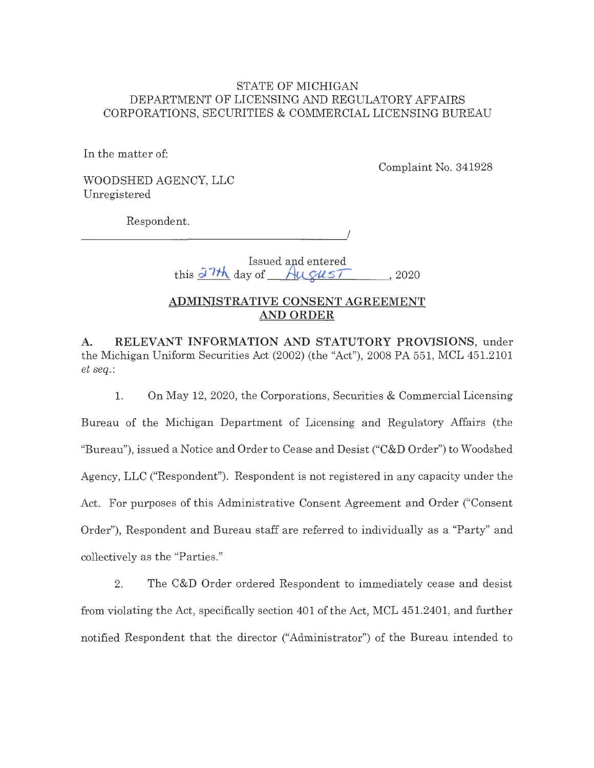## STATE OF MICHIGAN DEPARTMENT OF LICENSING AND REGULATORY AFFAIRS CORPORATIONS, SECURITIES & COMMERCIAL LICENSING BUREAU

In the matter of:

Complaint No. 341928

WOODSHED AGENCY, LLC Unregistered

Respondent.

 $\overline{a}$ 

Issued and entered

 $t$ his  $\frac{\partial^7 \mathcal{H}}{\partial \alpha}$  day of  $\frac{1}{\alpha}$  August , 2020

# **ADMINISTRATIVE CONSENT AGREEMENT AND ORDER**

**A. RELEVANT INFORMATION AND STATUTORY PROVISIONS,** under the Michigan Uniform Securities Act (2002) (the "Act"), 2008 PA 551, MCL 451.2101 *et seq.:* 

1. On May 12, 2020, the Corporations, Securities & Commercial Licensing Bureau of the Michigan Department of Licensing and Regulatory Affairs (the "Bureau"), issued a Notice and Order to Cease and Desist ("C&D Order") to Woodshed Agency, LLC ("Respondent"). Respondent is not registered in any capacity under the Act. For purposes of this Administrative Consent Agreement and Order ("Consent Order"), Respondent and Bureau staff are referred to individually as a "Party" and collectively as the "Parties."

2. The C&D Order ordered Respondent to immediately cease and desist from violating the Act, specifically section 401 of the Act, MCL 451.2401, and further notified Respondent that the director ("Administrator") of the Bureau intended to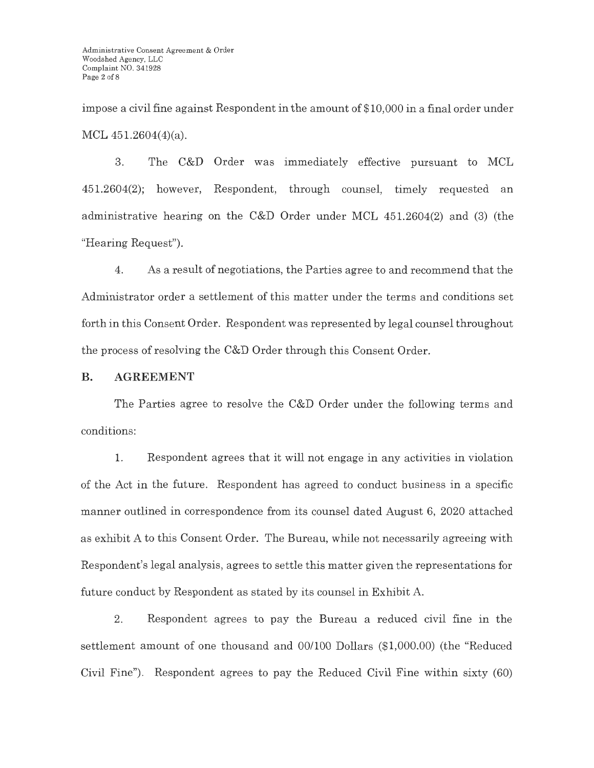impose a civil fine against Respondent in the amount of \$10,000 in a final order under MCL 451.2604(4)(a).

3. The C&D Order was immediately effective pursuant to MCL 451.2604(2); however, Respondent, through counsel, timely requested an administrative hearing on the C&D Order under MCL 451.2604(2) and (3) (the "Hearing Request").

4. As a result of negotiations, the Parties agree to and recommend that the Administrator order a settlement of this matter under the terms and conditions set forth in this Consent Order. Respondent was represented by legal counsel throughout the process of resolving the C&D Order through this Consent Order.

## **B. AGREEMENT**

The Parties agree to resolve the C&D Order under the following terms and conditions:

1. Respondent agrees that it will not engage in any activities in violation of the Act in the future. Respondent has agreed to conduct business in a specific manner outlined in correspondence from its counsel dated August 6, 2020 attached as exhibit A to this Consent Order. The Bureau, while not necessarily agreeing with Respondent's legal analysis, agrees to settle this matter given the representations for future conduct by Respondent as stated by its counsel in Exhibit A.

2. Respondent agrees to pay the Bureau a reduced civil fine in the settlement amount of one thousand and 00/100 Dollars (\$1,000.00) (the "Reduced Civil Fine"). Respondent agrees to pay the Reduced Civil Fine within sixty (60)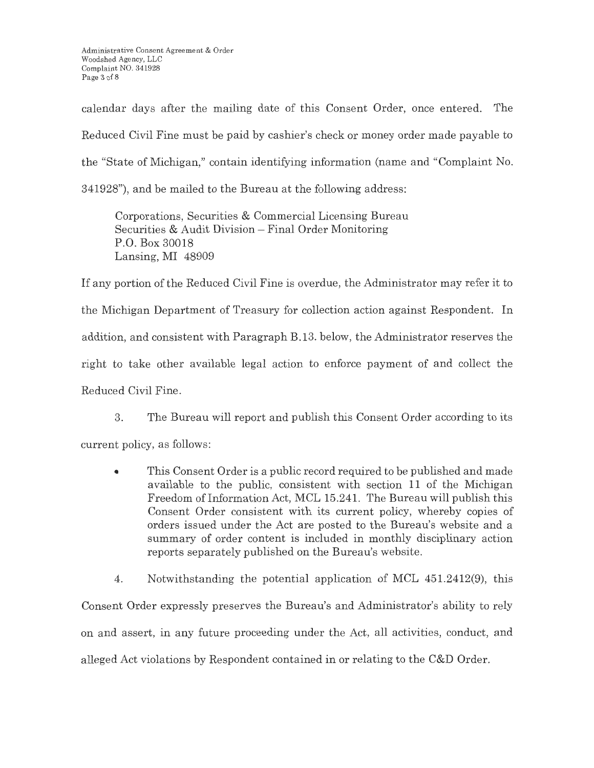calendar days after the mailing date of this Consent Order, once entered. The Reduced Civil Fine must be paid by cashier's check or money order made payable to the "State of Michigan," contain identifying information (name and "Complaint No. 341928"), and be mailed to the Bureau at the following address:

Corporations, Securities & Commercial Licensing Bureau Securities & Audit Division – Final Order Monitoring P.O. Box 30018 Lansing, MI 48909

If any portion of the Reduced Civil Fine is overdue, the Administrator may refer it to the Michigan Department of Treasury for collection action against Respondent. In addition, and consistent with Paragraph B.13. below, the Administrator reserves the right to take other available legal action to enforce payment of and collect the Reduced Civil Fine.

3. The Bureau will report and publish this Consent Order according to its current policy, as follows:

• This Consent Order is a public record required to be published and made available to the public, consistent with section 11 of the Michigan Freedom of Information Act, MCL 15.241. The Bureau will publish this Consent Order consistent with its current policy, whereby copies of orders issued under the Act are posted to the Bureau's website and a summary of order content is included in monthly disciplinary action reports separately published on the Bureau's website .

4. Notwithstanding the potential application of MCL 451.2412(9), this Consent Order expressly preserves the Bureau's and Administrator's ability to rely on and assert, in any future proceeding under the Act, all activities, conduct, and alleged Act violations by Respondent contained in or relating to the C&D Order.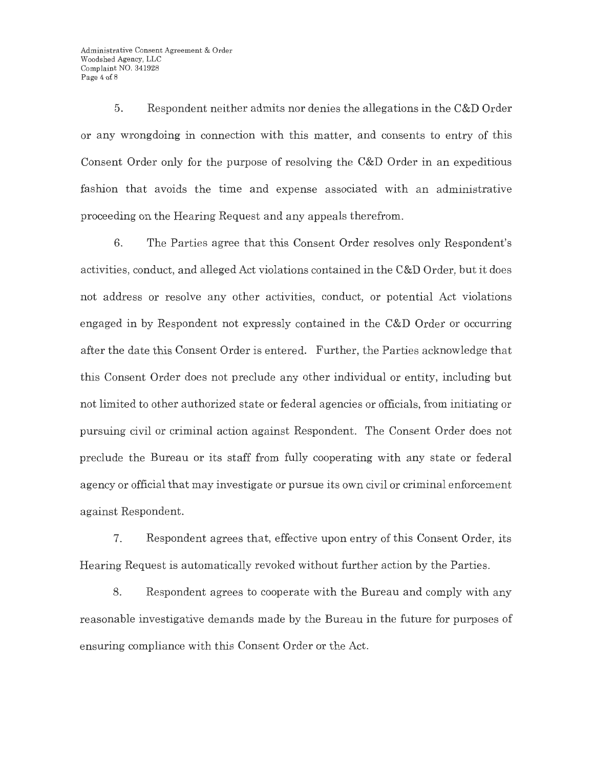5. Respondent neither admits nor denies the allegations in the C&D Order or any wrongdoing in connection with this matter, and consents to entry of this Consent Order only for the purpose of resolving the C&D Order in an expeditious fashion that avoids the time and expense associated with an administrative proceeding on the Hearing Request and any appeals therefrom.

6. The Parties agree that this Consent Order resolves only Respondent's activities, conduct, and alleged Act violations contained in the C&D Order, but it does not address or resolve any other activities, conduct, or potential Act violations engaged in by Respondent not expressly contained in the C&D Order or occurring after the date this Consent Order is entered. Further, the Parties acknowledge that this Consent Order does not preclude any other individual or entity, including but not limited to other authorized state or federal agencies or officials, from initiating or pursuing civil or criminal action against Respondent. The Consent Order does not preclude the Bureau or its staff from fully cooperating with any state or federal agency or official that may investigate or pursue its own civil or criminal enforcement against Respondent.

7. Respondent agrees that, effective upon entry of this Consent Order, its Hearing Request is automatically revoked without further action by the Parties.

8. Respondent agrees to cooperate with the Bureau and comply with any reasonable investigative demands made by the Bureau in the future for purposes of ensuring compliance with this Consent Order or the Act.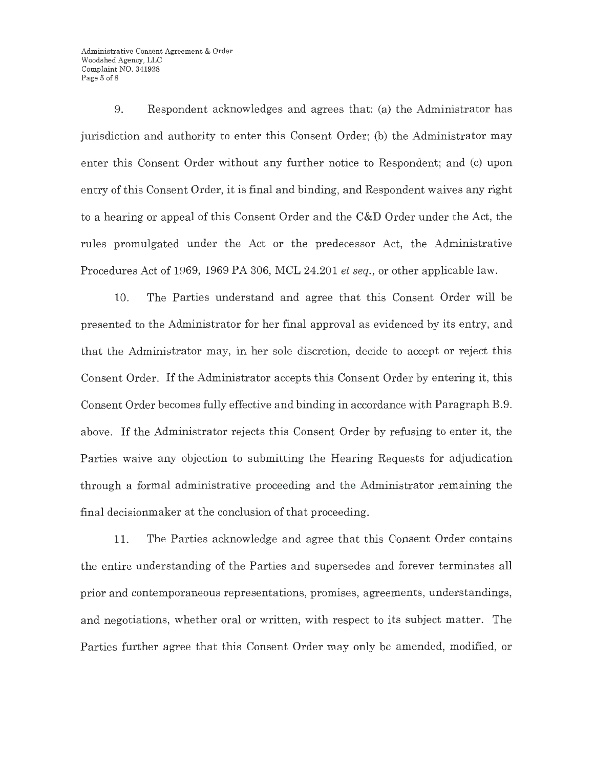Administrative Consent Agreement & Order Woodshed Agency, LLC Complaint NO. 341928 Page 5 of 8

9. Respondent acknowledges and agrees that: (a) the Administrator has jurisdiction and authority to enter this Consent Order; (b) the Administrator may enter this Consent Order without any further notice to Respondent; and (c) upon entry of this Consent Order, it is final and binding, and Respondent waives any right to a hearing or appeal of this Consent Order and the C&D Order under the Act, the rules promulgated under the Act or the predecessor Act, the Administrative Procedures Act of 1969, 1969 PA 306, MCL 24.201 *et seq.,* or other applicable law.

10. The Parties understand and agree that this Consent Order will be presented to the Administrator for her final approval as evidenced by its entry, and that the Administrator may, in her sole discretion, decide to accept or reject this Consent Order. If the Administrator accepts this Consent Order by entering it, this Consent Order becomes fully effective and binding in accordance with Paragraph B.9. above. If the Administrator rejects this Consent Order by refusing to enter it, the Parties waive any objection to submitting the Hearing Requests for adjudication through a formal administrative proceeding and the  $\Lambda$ dministrator remaining the final decisionmaker at the conclusion of that proceeding.

11. The Parties acknowledge and agree that this Consent Order contains the entire understanding of the Parties and supersedes and forever terminates all prior and contemporaneous representations, promises, agreements, understandings, and negotiations, whether oral or written, with respect to its subject matter. The Parties further agree that this Consent Order may only be amended, modified, or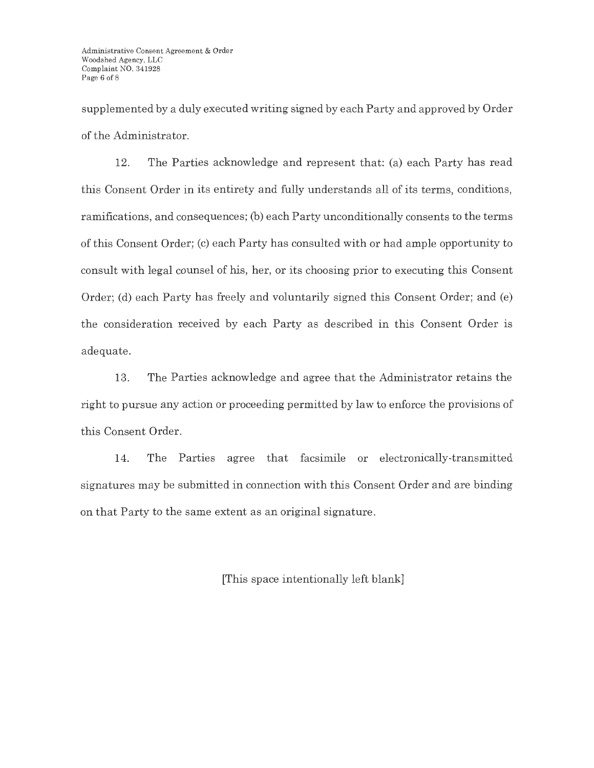supplemented by a duly executed writing signed by each Party and approved by Order of the Administrator.

12. The Parties acknowledge and represent that: (a) each Party has read this Consent Order in its entirety and fully understands all of its terms, conditions, ramifications, and consequences; (b) each Party unconditionally consents to the terms of this Consent Order; (c) each Party has consulted with or had ample opportunity to consult with legal counsel of his, her, or its choosing prior to executing this Consent Order; (d) each Party has freely and voluntarily signed this Consent Order; and (e) the consideration received by each Party as described in this Consent Order is adequate.

13. The Parties acknowledge and agree that the Administrator retains the right to pursue any action or proceeding permitted by law to enforce the provisions of this Consent Order.

14. The Parties agree that facsimile or electronically-transmitted signatures may be submitted in connection with this Consent Order and are binding on that Party to the same extent as an original signature.

[This space intentionally left blank]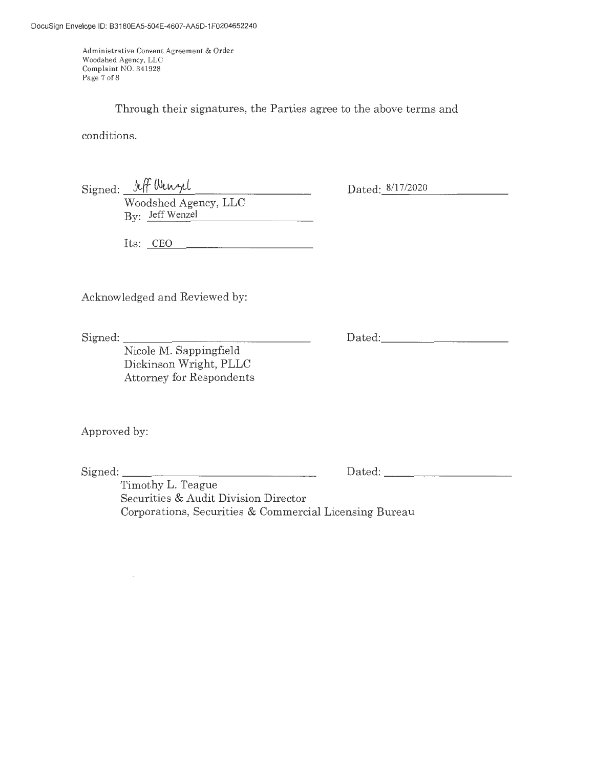Administrative Consent Agreement & Order Woodshed Agency, LLC Complaint NO. 341928 Page 7 of 8

Through their signatures, the Parties agree to the above terms and

conditions.

Signed: 1ff Wenzel

Dated: 8/17/2020

Woodshed Agency, LLC By: Jeff Wenzel

Its: CEO

Acknowledged and Reviewed by:

Signed: \_\_\_\_\_\_\_\_\_\_\_\_\_\_\_ \_

Dated:

Nicole M. Sappingfield Dickinson Wright, PLLC Attorney for Respondents

Approved by:

Signed: \_\_\_\_\_\_\_\_\_\_\_\_\_\_\_ \_

Dated:

Timothy L. Teague Securities & Audit Division Director Corporations, Securities & Commercial Licensing Bureau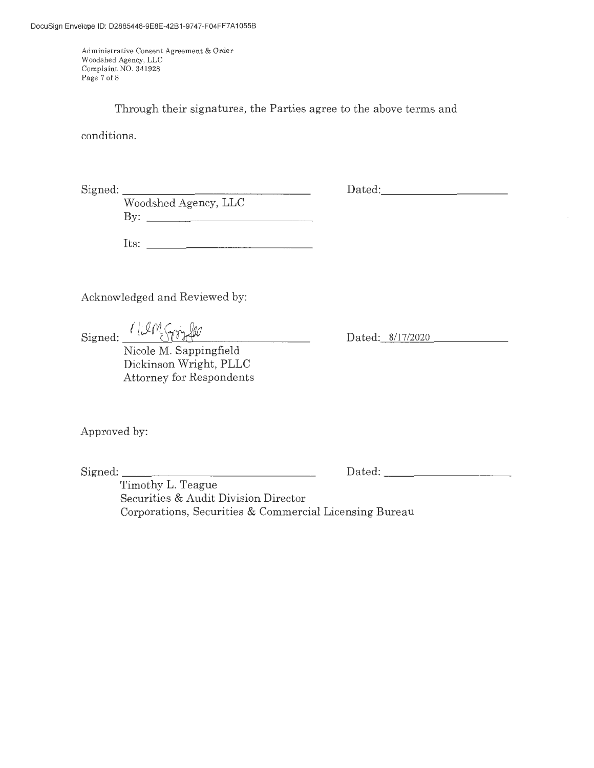Administrative Consent Agreement & Order Woodshed Agency, LLC Complaint NO. 341928 Page 7 of 8

Through their signatures, the Parties agree to the above terms and

conditions.

 $Signal:$ 

Dated:

Woodshed Agency, LLC By:

Its:  $\qquad \qquad$ 

Acknowledged and Reviewed by:

Signed: *( WM Smyllo*)

Nicole M. Sappingfield Dickinson Wright, PLLC Attorney for Respondents Dated: 8/17/2020

Approved by:

Signed: \_\_\_\_\_\_\_\_\_\_\_\_\_\_ \_

Dated: \_\_\_\_\_\_\_\_\_ \_

Timothy L. Teague Securities & Audit Division Director Corporations, Securities & Commercial Licensing Bureau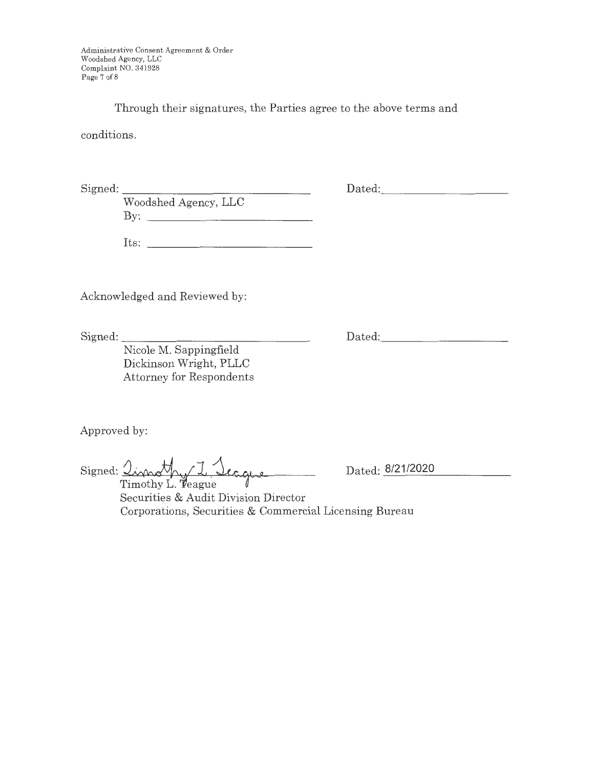Administrative Consent Agreement & Order Woodshed Agency, LLC Complaint NO. 341928 Page 7 of 8

Through their signatures, the Parties agree to the above terms and

conditions.

 $Signed:$ 

Dated: -----------

Woodshed Agency, LLC By:

Its:

Acknowledged and Reviewed by:

Signed: \_\_\_\_\_\_\_\_\_\_\_\_\_\_\_ \_

Dated: -----------

Nicole M. Sappingfield Dickinson Wright, PLLC Attorney for Respondents

Approved by:

Signed: <u>Import for I</u>. Seague

Dated: 8/21/2020

Securities & Audit Division Director Corporations, Securities & Commercial Licensing Bureau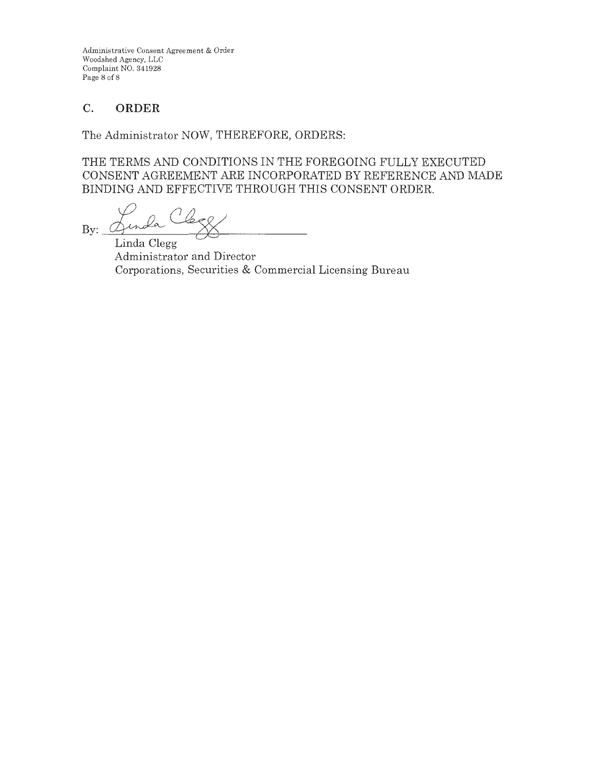Administrative Consent Agreement & Order Woodshed Agency, LLC Complaint NO. 341928 Page 8 of 8

# **C. ORDER**

The Administrator NOW, THEREFORE, ORDERS:

THE TERMS AND CONDITIONS IN THE FOREGOING FULLY EXECUTED CONSENT AGREEMENT ARE INCORPORATED BY REFERENCE AND MADE BINDING AND EFFECTIVE THROUGH THIS CONSENT ORDER.

By: Genda Clere.

Linda Clegg Administrator and Director Corporations, Securities & Commercial Licensing Bureau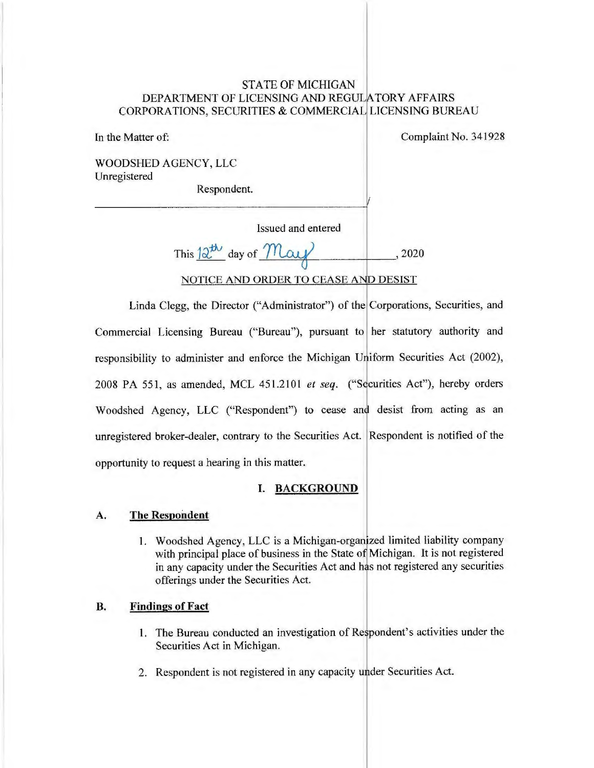## STATE OF MICHIGAN DEPARTMENT OF LICENSING AND REGULATORY AFFAIRS CORPORATIONS, SECURITIES & COMMERCIAL LICENSING BUREAU

In the Matter of:

Complaint No. 341928

WOODSHED AGENCY, LLC Unregistered

Respondent.

| Issued and entered                   |      |
|--------------------------------------|------|
| This $2^{t\lambda}$ day of May       | 2020 |
| NOTICE AND ORDER TO CEASE AND DESIST |      |

V

Linda Clegg, the Director ("Administrator") of the Corporations, Securities, and Commercial Licensing Bureau ("Bureau"), pursuant to her statutory authority and responsibility to administer and enforce the Michigan Uniform Securities Act (2002), 2008 PA 551, as amended, MCL 451.2101 *et seq.* ("Securities Act"), hereby orders Woodshed Agency, LLC ("Respondent") to cease and desist from acting as an Interesting and the contrary to the Securities Act. Respondent is notified of the opportunity to request a hearing in this matter.

## **I. BACKGROUND**

## **A. The Respondent**

1. Woodshed Agency, LLC is a Michigan-organized limited liability company with principal place of business in the State of Michigan. It is not registered in any capacity under the Securities Act and has not registered any securities offerings under the Securities Act.

## **B. Findings of Fact**

- 1. The Bureau conducted an investigation of Respondent's activities under the Securities Act in Michigan.
- 2. Respondent is not registered in any capacity under Securities Act.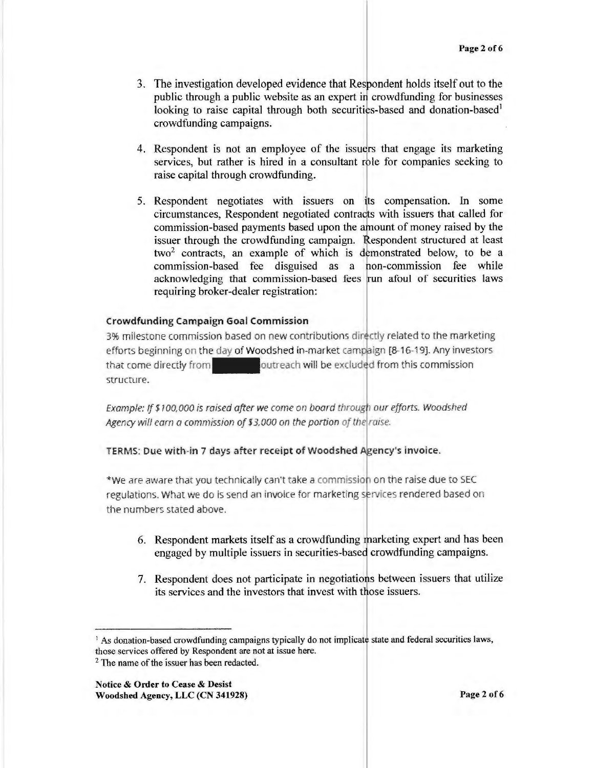- 3. The investigation developed evidence that Respondent holds itself out to the public through a public website as an expert in crowdfunding for businesses looking to raise capital through both securities-based and donation-based<sup>1</sup> crowdfunding campaigns. .
- 4. Respondent is not an employee of the issuers that engage its marketing services, but rather is hired in a consultant role for companies seeking to raise capital through crowdfunding.
- 5. Respondent negotiates with issuers on its compensation. In some circumstances, Respondent negotiated contracts with issuers that called for commission-based payments based upon the amount of money raised by the issuer through the crowdfunding campaign. Respondent structured at least  $two<sup>2</sup>$  contracts, an example of which is demonstrated below, to be a commission-based fee disguised as a non-commission fee while acknowledging that commission-based fees run afoul of securities laws requiring broker-dealer registration:

#### **Crowdfunding Campaign Goal Commission**

3% milestone commission based on new contributions directly related to the marketing efforts beginning on the day of Woodshed in-market campaign [8-16-19]. Any investors that come directly from  $\blacksquare$ structure. outreach will be excluded from this commission

Example: If \$100,000 is raised after we come on board through our efforts. Woodshed Agency will earn a commission of \$3,000 on the portion of the raise.

#### TERMS: Due with-in 7 days after receipt of Woodshed Agency's invoice.

\*We are aware that you technically can't take a commission on the raise due to SEC regulations. What we do is send an invoice for marketing services rendered based on the numbers stated above.

- 6. Respondent markets itself as a crowdfunding marketing expert and has been engaged by multiple issuers in securities-based crowdfunding campaigns.
- 7. Respondent does not participate in negotiations between issuers that utilize its services and the investors that invest with those issuers.

<sup>&</sup>lt;sup>1</sup> As donation-based crowdfunding campaigns typically do not implicate state and federal securities laws, those services offered by Respondent are not at issue here.

<sup>&</sup>lt;sup>2</sup> The name of the issuer has been redacted.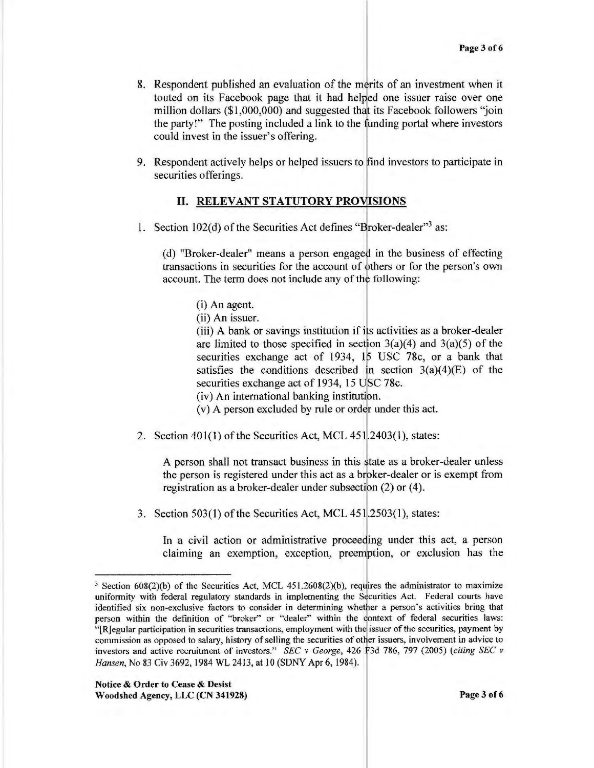- 8. Respondent published an evaluation of the merits of an investment when it touted on its Facebook page that it had helped one issuer raise over one million dollars (\$1,000,000) and suggested that its Facebook followers ''join the party!" The posting included a link to the funding portal where investors could invest in the issuer's offering.
- 9. Respondent actively helps or helped issuers to find investors to participate in securities offerings.

#### **11. RELEVANT STATUTORY PROVISIONS**

1. Section  $102(d)$  of the Securities Act defines "Broker-dealer"<sup>3</sup> as:

(d) "Broker-dealer" means a person engaged in the business of effecting transactions in securities for the account of bthers or for the person's own account. The term does not include any of the following:

(i) An agent.

(ii) An issuer.

(iii) A bank or savings institution if ifs activities as a broker-dealer are limited to those specified in section  $3(a)(4)$  and  $3(a)(5)$  of the securities exchange act of 1934, 15 USC 78c, or a bank that satisfies the conditions described in section  $3(a)(4)(E)$  of the securities exchange act of 1934, 15 USC 78c.

 $(iv)$  An international banking institution.

(v) A person excluded by rule or order under this act.

2. Section 401(1) of the Securities Act, MCL 451.2403(1), states:

A person shall not transact business in this tate as a broker-dealer unless the person is registered under this act as a broker-dealer or is exempt from registration as a broker-dealer under subsection  $(2)$  or  $(4)$ .

3. Section  $503(1)$  of the Securities Act, MCL  $451.2503(1)$ , states:

In a civil action or administrative proceeding under this act, a person claiming an exemption, exception, preemption, or exclusion has the

 $3$  Section 608(2)(b) of the Securities Act, MCL 451.2608(2)(b), requires the administrator to maximize uniformity with federal regulatory standards in implementing the Securities Act. Federal courts have identified six non-exclusive factors to consider in determining whether a person's activities bring that person within the definition of "broker" or "dealer" within the context of federal securities laws: "[R]egular participation in securities transactions, employment with the issuer of the securities, payment by commission as opposed to salary, history of selling the securities of otlier issuers, involvement in advice to investors and active recruitment of investors." *SEC* v *George,* 426 F3d 786, 797 (2005) *(citing SEC* v *Hansen,* No 83 Civ 3692, 1984 WL 2413, at 10 (SONY Apr 6, 1984 ). I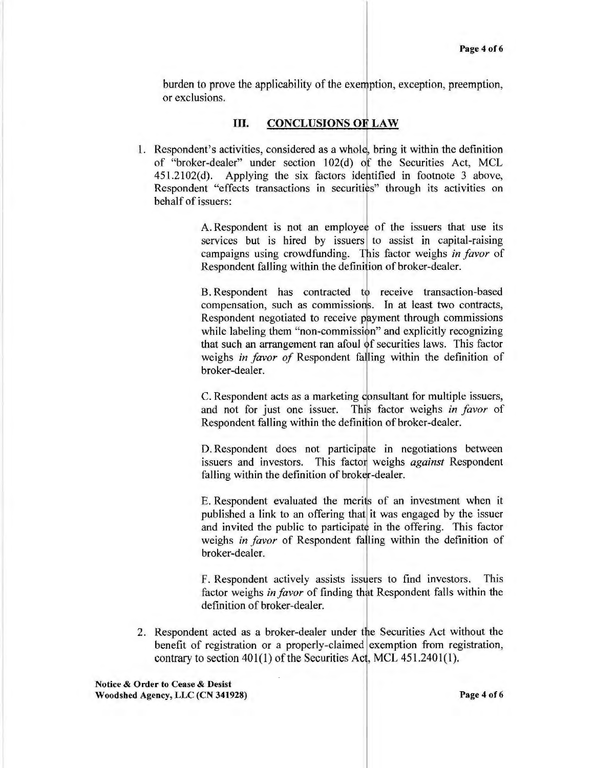burden to prove the applicability of the exemption, exception, preemption, or exclusions.

## III. **CONCLUSIONS OE LAW**

1. Respondent's activities, considered as a whole, bring it within the definition of "broker-dealer" under section 102(d) *of* the Securities Act, MCL 45 l.2102(d). Applying the six factors identified in footnote 3 above, Respondent "effects transactions in securities" through its activities on behalf of issuers:

> A. Respondent is not an employee of the issuers that use its services but is hired by issuers to assist in capital-raising campaigns using crowdfunding. This factor weighs *in favor* of Respondent falling within the definition of broker-dealer.

> B. Respondent has contracted to receive transaction-based compensation, such as commissions. In at least two contracts, Respondent negotiated to receive payment through commissions while labeling them "non-commission" and explicitly recognizing that such an arrangement ran afoul of securities laws. This factor weighs *in favor of* Respondent falling within the definition of broker-dealer.

> C. Respondent acts as a marketing c onsultant for multiple issuers, 1 and not for just one issuer. This factor weighs *in favor* of Respondent falling within the definition of broker-dealer.

> D. Respondent does not participate in negotiations between issuers and investors. This factor weighs *against* Respondent falling within the definition of broker-dealer.

> E. Respondent evaluated the merits of an investment when it published a link to an offering that it was engaged by the issuer and invited the public to participate in the offering. This factor weighs *in favor* of Respondent falling within the definition of broker-dealer.

> F. Respondent actively assists issuers to find investors. This factor weighs *in favor* of finding that Respondent falls within the definition of broker-dealer.

2. Respondent acted as a broker-dealer under the Securities Act without the benefit of registration or a properly-claimed exemption from registration, contrary to section  $401(1)$  of the Securities Act, MCL  $451,2401(1)$ .

**Notice** & **Order to Cease** & **Desist Woodshed Agency, LLC (CN 341928) Page 4 of6**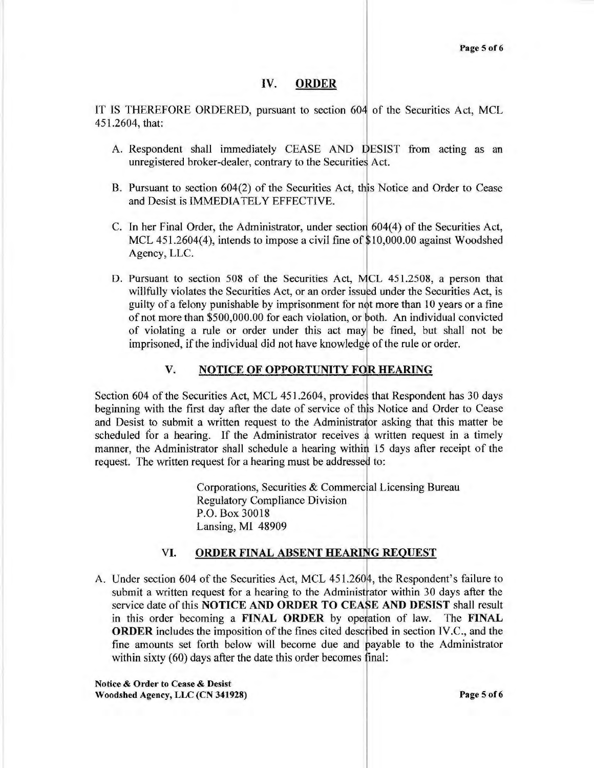#### **IV. ORDER**

IT IS THEREFORE ORDERED, pursuant to section 604 of the Securities Act, MCL 451.2604, that:

- A. Respondent shall immediately CEASE AND DESIST from acting as an unregistered broker-dealer, contrary to the Securities Act.
- B. Pursuant to section 604(2) of the Securities Act, this Notice and Order to Cease and Desist is IMMEDIATELY EFFECTIVE.
- C. In her Final Order, the Administrator, under sectio 604(4) of the Securities Act, MCL 451.2604(4), intends to impose a civil fine of  $$10,000.00$  against Woodshed Agency, LLC.
- D. Pursuant to section 508 of the Securities Act, MCL 451.2508, a person that willfully violates the Securities Act, or an order issued under the Securities Act, is guilty of a felony punishable by imprisonment for not more than 10 years or a fine of not more than \$500,000.00 for each violation, or both. An individual convicted of violating a rule or order under this act mayl be fined, but shall not be imprisoned, if the individual did not have knowledge of the rule or order.

#### **V. NOTICE OF OPPORTUNITY FOR HEARING**

Section 604 of the Securities Act, MCL 451.2604, provides that Respondent has 30 days beginning with the first day after the date of service of this Notice and Order to Cease and Desist to submit a written request to the Administrator asking that this matter be scheduled for a hearing. If the Administrator receives a written request in a timely manner, the Administrator shall schedule a hearing within 15 days after receipt of the request. The written request for a hearing must be addressed to:

> Corporations, Securities & Commercial Licensing Bureau Regulatory Compliance Division P.O. Box 30018 Lansing, Ml 48909

## VI. **ORDER FINAL ABSENT HEARUiG REQUEST**

A. Under section 604 of the Securities Act, MCL 451.2604, the Respondent's failure to submit a written request for a hearing to the Administrator within 30 days after the service date of this **NOTICE AND ORDER TO CEASE AND DESIST** shall result in this order becoming a **FINAL ORDER** by operation of law. The **FINAL ORDER** includes the imposition of the fines cited described in section IV.C., and the fine amounts set forth below will become due and payable to the Administrator within sixty  $(60)$  days after the date this order becomes final:

**Notice** & **Order to Cease** & **Desist Woodshed Agency, LLC (CN 341928) Page 5 of6**